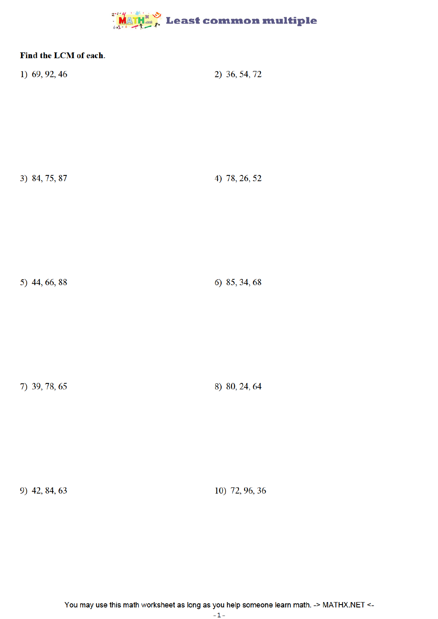## **MATH & Least common multiple**

| Find the LCM of each. |               |
|-----------------------|---------------|
| 1) 69, 92, 46         | 2) 36, 54, 72 |
| 3) 84, 75, 87         | 4) 78, 26, 52 |
| 5) 44, 66, 88         | 6) 85, 34, 68 |
| 7) 39, 78, 65         | 8) 80, 24, 64 |

10) 72, 96, 36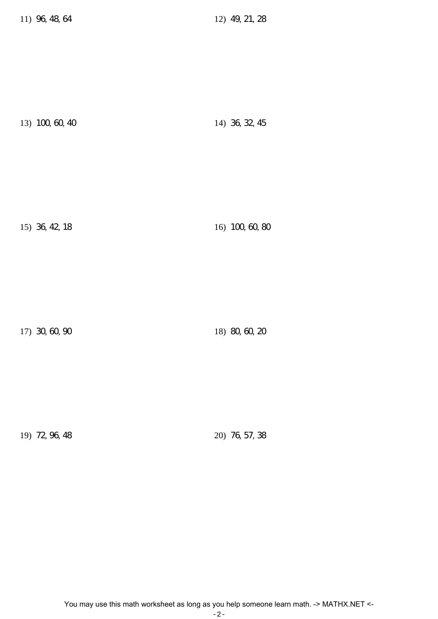13) 100, 60, 40 14) 36, 32, 45

15) 36, 42, 18 16) 100, 60, 80

17) 30, 60, 90 18) 80, 60, 20

19) 72, 96, 48 20) 76, 57, 38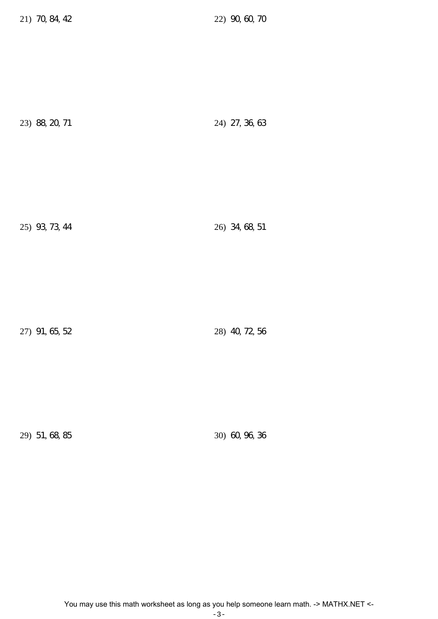21) 70, 84, 42 22) 90, 60, 70

| 23) 88, 20, 71 | 24) 27, 36, 63 |
|----------------|----------------|
|                |                |

25) 93, 73, 44 26) 34, 68, 51

27) 91, 65, 52 28) 40, 72, 56

29) 51, 68, 85 30) 60, 96, 36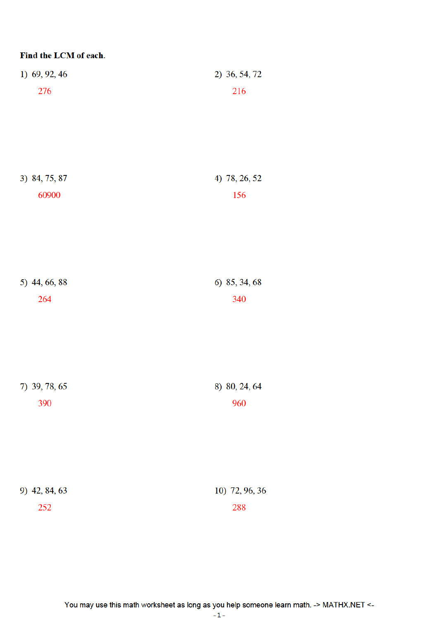| Find the LCM of each. |                |
|-----------------------|----------------|
| 1) 69, 92, 46         | 2) 36, 54, 72  |
| 276                   | 216            |
|                       |                |
|                       |                |
|                       |                |
| 3) 84, 75, 87         | 4) 78, 26, 52  |
| 60900                 | 156            |
|                       |                |
|                       |                |
|                       |                |
|                       |                |
| 5) 44, 66, 88         | 6) 85, 34, 68  |
| 264                   | 340            |
|                       |                |
|                       |                |
|                       |                |
| 7) 39, 78, 65         | 8) 80, 24, 64  |
| 390                   | 960            |
|                       |                |
|                       |                |
|                       |                |
| 9) 42, 84, 63         | 10) 72, 96, 36 |
| 252                   | 288            |
|                       |                |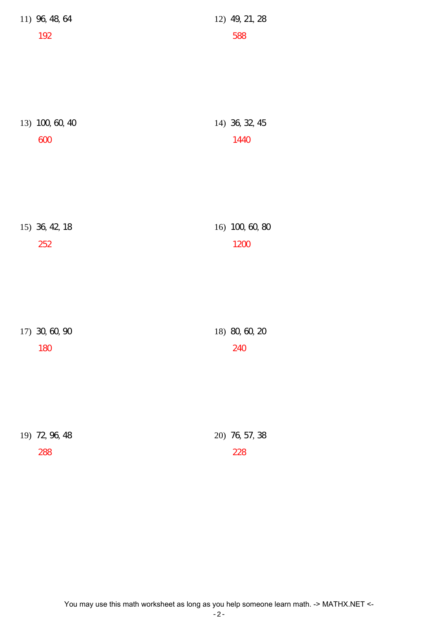| 11) 96, 48, 64         | 12) 49, 21, 28         |
|------------------------|------------------------|
| 192                    | 588                    |
|                        |                        |
|                        |                        |
|                        |                        |
|                        |                        |
| 13) 100, 60, 40<br>600 | 14) 36, 32, 45<br>1440 |
|                        |                        |
|                        |                        |
|                        |                        |
|                        |                        |
| 15) 36, 42, 18         | 16) 100, 60, 80        |
| 252                    | 1200                   |
|                        |                        |
|                        |                        |
|                        |                        |
|                        |                        |
| 17) 30, 60, 90         | 18) 80, 60, 20         |
| 180                    | 240                    |
|                        |                        |
|                        |                        |
|                        |                        |
| 19) 72, 96, 48         | 20) 76, 57, 38         |
| 288                    | 228                    |
|                        |                        |